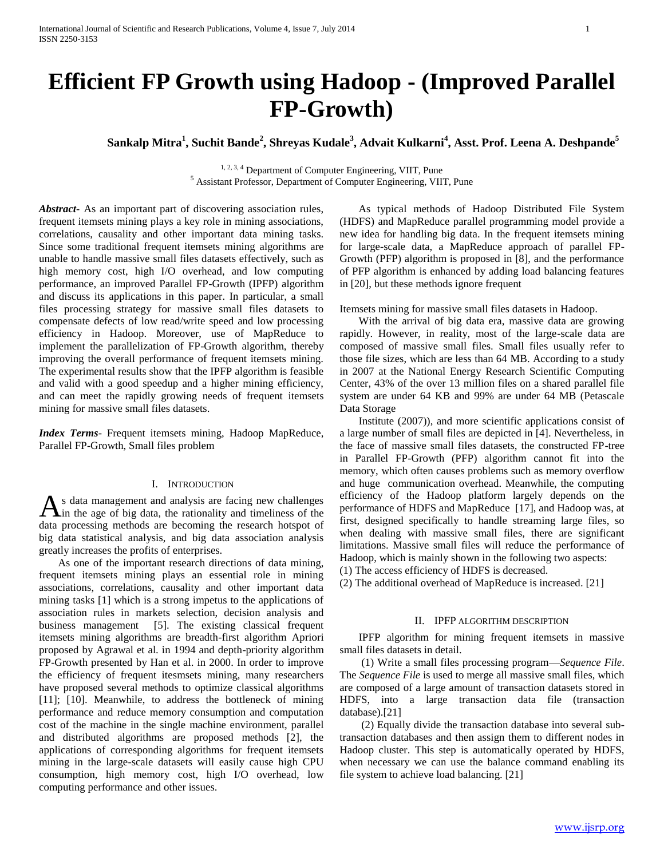# **Efficient FP Growth using Hadoop - (Improved Parallel FP-Growth)**

**Sankalp Mitra<sup>1</sup> , Suchit Bande<sup>2</sup> , Shreyas Kudale<sup>3</sup> , Advait Kulkarni<sup>4</sup> , Asst. Prof. Leena A. Deshpande<sup>5</sup>**

<sup>1, 2, 3, 4</sup> Department of Computer Engineering, VIIT, Pune <sup>5</sup> Assistant Professor, Department of Computer Engineering, VIIT, Pune

*Abstract***-** As an important part of discovering association rules, frequent itemsets mining plays a key role in mining associations, correlations, causality and other important data mining tasks. Since some traditional frequent itemsets mining algorithms are unable to handle massive small files datasets effectively, such as high memory cost, high I/O overhead, and low computing performance, an improved Parallel FP-Growth (IPFP) algorithm and discuss its applications in this paper. In particular, a small files processing strategy for massive small files datasets to compensate defects of low read/write speed and low processing efficiency in Hadoop. Moreover, use of MapReduce to implement the parallelization of FP-Growth algorithm, thereby improving the overall performance of frequent itemsets mining. The experimental results show that the IPFP algorithm is feasible and valid with a good speedup and a higher mining efficiency, and can meet the rapidly growing needs of frequent itemsets mining for massive small files datasets.

*Index Terms*- Frequent itemsets mining, Hadoop MapReduce, Parallel FP-Growth, Small files problem

# I. INTRODUCTION

s data management and analysis are facing new challenges As data management and analysis are facing new challenges in the age of big data, the rationality and timeliness of the data processing methods are becoming the research hotspot of big data statistical analysis, and big data association analysis greatly increases the profits of enterprises.

 As one of the important research directions of data mining, frequent itemsets mining plays an essential role in mining associations, correlations, causality and other important data mining tasks [1] which is a strong impetus to the applications of association rules in markets selection, decision analysis and business management [5]. The existing classical frequent itemsets mining algorithms are breadth-first algorithm Apriori proposed by Agrawal et al. in 1994 and depth-priority algorithm FP-Growth presented by Han et al. in 2000. In order to improve the efficiency of frequent itesmsets mining, many researchers have proposed several methods to optimize classical algorithms [11]; [10]. Meanwhile, to address the bottleneck of mining performance and reduce memory consumption and computation cost of the machine in the single machine environment, parallel and distributed algorithms are proposed methods [2], the applications of corresponding algorithms for frequent itemsets mining in the large-scale datasets will easily cause high CPU consumption, high memory cost, high I/O overhead, low computing performance and other issues.

 As typical methods of Hadoop Distributed File System (HDFS) and MapReduce parallel programming model provide a new idea for handling big data. In the frequent itemsets mining for large-scale data, a MapReduce approach of parallel FP-Growth (PFP) algorithm is proposed in [8], and the performance of PFP algorithm is enhanced by adding load balancing features in [20], but these methods ignore frequent

Itemsets mining for massive small files datasets in Hadoop.

 With the arrival of big data era, massive data are growing rapidly. However, in reality, most of the large-scale data are composed of massive small files. Small files usually refer to those file sizes, which are less than 64 MB. According to a study in 2007 at the National Energy Research Scientific Computing Center, 43% of the over 13 million files on a shared parallel file system are under 64 KB and 99% are under 64 MB (Petascale Data Storage

 Institute (2007)), and more scientific applications consist of a large number of small files are depicted in [4]. Nevertheless, in the face of massive small files datasets, the constructed FP-tree in Parallel FP-Growth (PFP) algorithm cannot fit into the memory, which often causes problems such as memory overflow and huge communication overhead. Meanwhile, the computing efficiency of the Hadoop platform largely depends on the performance of HDFS and MapReduce [17], and Hadoop was, at first, designed specifically to handle streaming large files, so when dealing with massive small files, there are significant limitations. Massive small files will reduce the performance of Hadoop, which is mainly shown in the following two aspects:

(1) The access efficiency of HDFS is decreased.

(2) The additional overhead of MapReduce is increased. [21]

## II. IPFP ALGORITHM DESCRIPTION

 IPFP algorithm for mining frequent itemsets in massive small files datasets in detail.

 (1) Write a small files processing program—*Sequence File*. The *Sequence File* is used to merge all massive small files, which are composed of a large amount of transaction datasets stored in HDFS, into a large transaction data file (transaction database).[21]

 (2) Equally divide the transaction database into several subtransaction databases and then assign them to different nodes in Hadoop cluster. This step is automatically operated by HDFS, when necessary we can use the balance command enabling its file system to achieve load balancing. [21]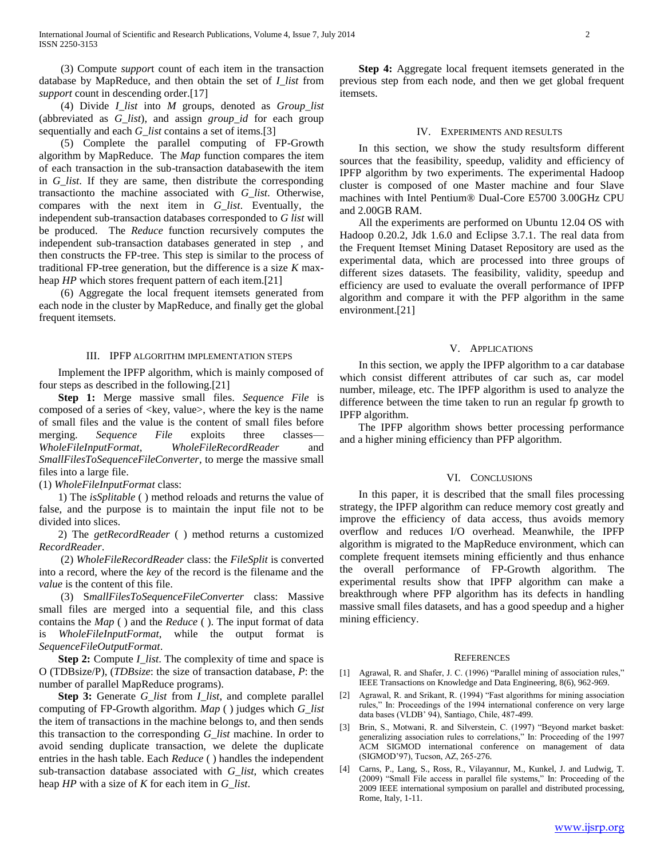(3) Compute *suppor*t count of each item in the transaction database by MapReduce, and then obtain the set of *I\_list* from *support* count in descending order.[17]

 (4) Divide *I\_list* into *M* groups, denoted as *Group\_list*  (abbreviated as *G\_list*), and assign *group\_id* for each group sequentially and each *G\_list* contains a set of items.[3]

 (5) Complete the parallel computing of FP-Growth algorithm by MapReduce. The *Map* function compares the item of each transaction in the sub-transaction databasewith the item in *G\_list*. If they are same, then distribute the corresponding transactionto the machine associated with *G\_list*. Otherwise, compares with the next item in *G\_list*. Eventually, the independent sub-transaction databases corresponded to *G list* will be produced. The *Reduce* function recursively computes the independent sub-transaction databases generated in step , and then constructs the FP-tree. This step is similar to the process of traditional FP-tree generation, but the difference is a size *K* maxheap *HP* which stores frequent pattern of each item.[21]

 (6) Aggregate the local frequent itemsets generated from each node in the cluster by MapReduce, and finally get the global frequent itemsets.

## III. IPFP ALGORITHM IMPLEMENTATION STEPS

 Implement the IPFP algorithm, which is mainly composed of four steps as described in the following.[21]

 **Step 1:** Merge massive small files. *Sequence File* is composed of a series of  $\langle key, value \rangle$ , where the key is the name of small files and the value is the content of small files before merging. *Sequence File* exploits three classes-*WholeFileInputFormat*, *WholeFileRecordReader* and *SmallFilesToSequenceFileConverter*, to merge the massive small files into a large file.

(1) *WholeFileInputFormat* class:

 1) The *isSplitable* ( ) method reloads and returns the value of false, and the purpose is to maintain the input file not to be divided into slices.

 2) The *getRecordReader* ( ) method returns a customized *RecordReader*.

 (2) *WholeFileRecordReader* class: the *FileSplit* is converted into a record, where the *key* of the record is the filename and the *value* is the content of this file.

 (3) S*mallFilesToSequenceFileConverter* class: Massive small files are merged into a sequential file, and this class contains the *Map* ( ) and the *Reduce* ( ). The input format of data is *WholeFileInputFormat*, while the output format is *SequenceFileOutputFormat*.

**Step 2:** Compute *I\_list*. The complexity of time and space is O (TDBsize/P), (*TDBsize*: the size of transaction database, *P*: the number of parallel MapReduce programs).

 **Step 3:** Generate *G\_list* from *I\_list*, and complete parallel computing of FP-Growth algorithm. *Map* ( ) judges which *G\_list*  the item of transactions in the machine belongs to, and then sends this transaction to the corresponding *G\_list* machine. In order to avoid sending duplicate transaction, we delete the duplicate entries in the hash table. Each *Reduce* ( ) handles the independent sub-transaction database associated with *G\_list*, which creates heap *HP* with a size of *K* for each item in *G\_list*.

 **Step 4:** Aggregate local frequent itemsets generated in the previous step from each node, and then we get global frequent itemsets.

## IV. EXPERIMENTS AND RESULTS

 In this section, we show the study resultsform different sources that the feasibility, speedup, validity and efficiency of IPFP algorithm by two experiments. The experimental Hadoop cluster is composed of one Master machine and four Slave machines with Intel Pentium® Dual-Core E5700 3.00GHz CPU and 2.00GB RAM.

 All the experiments are performed on Ubuntu 12.04 OS with Hadoop 0.20.2, Jdk 1.6.0 and Eclipse 3.7.1. The real data from the Frequent Itemset Mining Dataset Repository are used as the experimental data, which are processed into three groups of different sizes datasets. The feasibility, validity, speedup and efficiency are used to evaluate the overall performance of IPFP algorithm and compare it with the PFP algorithm in the same environment.[21]

#### V. APPLICATIONS

 In this section, we apply the IPFP algorithm to a car database which consist different attributes of car such as, car model number, mileage, etc. The IPFP algorithm is used to analyze the difference between the time taken to run an regular fp growth to IPFP algorithm.

 The IPFP algorithm shows better processing performance and a higher mining efficiency than PFP algorithm.

### VI. CONCLUSIONS

 In this paper, it is described that the small files processing strategy, the IPFP algorithm can reduce memory cost greatly and improve the efficiency of data access, thus avoids memory overflow and reduces I/O overhead. Meanwhile, the IPFP algorithm is migrated to the MapReduce environment, which can complete frequent itemsets mining efficiently and thus enhance the overall performance of FP-Growth algorithm. The experimental results show that IPFP algorithm can make a breakthrough where PFP algorithm has its defects in handling massive small files datasets, and has a good speedup and a higher mining efficiency.

#### **REFERENCES**

- [1] Agrawal, R. and Shafer, J. C. (1996) "Parallel mining of association rules," IEEE Transactions on Knowledge and Data Engineering, 8(6), 962-969.
- [2] Agrawal, R. and Srikant, R. (1994) "Fast algorithms for mining association rules," In: Proceedings of the 1994 international conference on very large data bases (VLDB' 94), Santiago, Chile, 487-499.
- [3] Brin, S., Motwani, R. and Silverstein, C. (1997) "Beyond market basket: generalizing association rules to correlations," In: Proceeding of the 1997 ACM SIGMOD international conference on management of data (SIGMOD'97), Tucson, AZ, 265-276.
- [4] Carns, P., Lang, S., Ross, R., Vilayannur, M., Kunkel, J. and Ludwig, T. (2009) "Small File access in parallel file systems," In: Proceeding of the 2009 IEEE international symposium on parallel and distributed processing, Rome, Italy, 1-11.